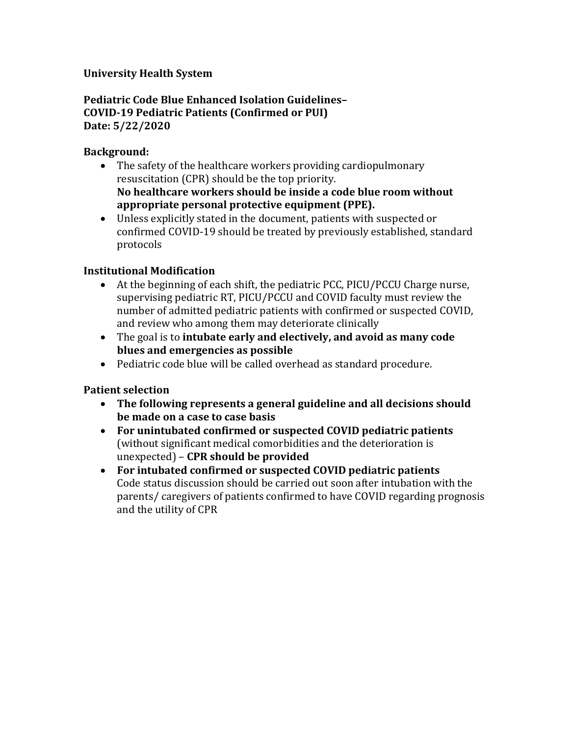## **University Health System**

**Pediatric Code Blue Enhanced Isolation Guidelines-COVID-19 Pediatric Patients (Confirmed or PUI) Date: 5/22/2020** 

#### **Background:**

- resuscitation (CPR) should be the top priority. • The safety of the healthcare workers providing cardiopulmonary No healthcare workers should be inside a code blue room without **appropriate personal protective equipment (PPE).**
- Unless explicitly stated in the document, patients with suspected or confirmed COVID-19 should be treated by previously established, standard protocols

## **Institutional Modification**

- • At the beginning of each shift, the pediatric PCC, PICU/PCCU Charge nurse, number of admitted pediatric patients with confirmed or suspected COVID, and review who among them may deteriorate clinically supervising pediatric RT, PICU/PCCU and COVID faculty must review the
- The goal is to **intubate early and electively, and avoid as many code blues and emergencies as possible**
- Pediatric code blue will be called overhead as standard procedure.

# **Patient selection**

- **The following represents a general guideline and all decisions should be made on a case to case basis**
- • **For unintubated confirmed or suspected COVID pediatric patients** (without significant medical comorbidities and the deterioration is unexpected) – **CPR should be provided**
- **For intubated confirmed or suspected COVID pediatric patients**  Code status discussion should be carried out soon after intubation with the parents/ caregivers of patients confirmed to have COVID regarding prognosis and the utility of CPR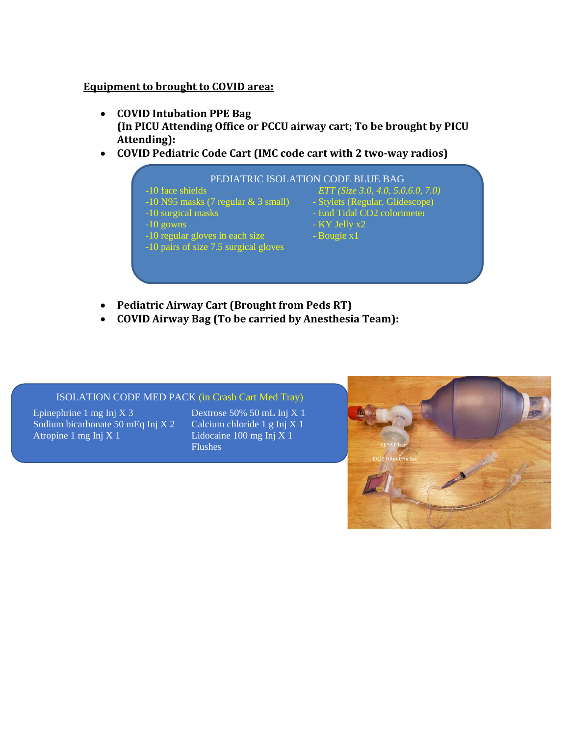#### **Equipment to brought to COVID area:**

- COVID Intubation PPE Bag **(In PICU Attending Office or PCCU airway cart; To be brought by PICU Attending):**
- **COVID Pediatric Code Cart (IMC code cart with 2 two-way radios)**



- **Pediatric Airway Cart (Brought from Peds RT)**
- **COVID Airway Bag (To be carried by Anesthesia Team):**

#### ISOLATION CODE MED PACK (in Crash Cart Med Tray)

Epinephrine 1 mg Inj  $X$  3 Sodium bicarbonate 50 mEq Inj  $X$  2 Calcium chloride 1 g Inj  $X$  1 Atropine 1 mg Inj  $X$  1

Dextrose 50% 50 mL Inj X 1<br>Calcium chloride 1 g Inj X 1 Lidocaine 100 mg Inj  $X$  1 Flushes

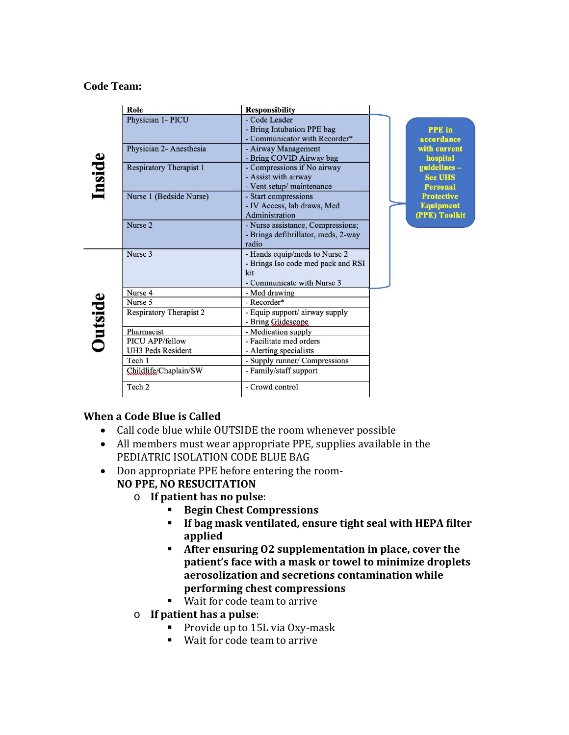### **Code Team:**

|         | Role                           | <b>Responsibility</b>                                                                                    |                                                        |
|---------|--------------------------------|----------------------------------------------------------------------------------------------------------|--------------------------------------------------------|
| Inside  | Physician 1- PICU              | - Code Leader<br>- Bring Intubation PPE bag<br>- Communicator with Recorder*                             | <b>PPE</b> in<br>accordance                            |
|         | Physician 2- Anesthesia        | - Airway Management<br>- Bring COVID Airway bag                                                          | with current<br>hospital                               |
|         | <b>Respiratory Therapist 1</b> | - Compressions if No airway<br>- Assist with airway<br>- Vent setup/ maintenance                         | $guidelines-$<br><b>See UHS</b><br><b>Personal</b>     |
|         | Nurse 1 (Bedside Nurse)        | - Start compressions<br>- IV Access, lab draws, Med<br>Administration                                    | <b>Protective</b><br><b>Equipment</b><br>(PPE) Toolkit |
|         | Nurse <sub>2</sub>             | - Nurse assistance, Compressions;<br>- Brings defibrillator, meds, 2-way<br>radio                        |                                                        |
| Outside | Nurse 3                        | - Hands equip/meds to Nurse 2<br>- Brings Iso code med pack and RSI<br>kit<br>- Communicate with Nurse 3 |                                                        |
|         | Nurse 4                        | - Med drawing                                                                                            |                                                        |
|         | Nurse 5                        | - Recorder*                                                                                              |                                                        |
|         | <b>Respiratory Therapist 2</b> | - Equip support/airway supply<br>- Bring Glidescope                                                      |                                                        |
|         | Pharmacist                     | - Medication supply                                                                                      |                                                        |
|         | <b>PICU APP/fellow</b>         | - Facilitate med orders                                                                                  |                                                        |
|         | <b>UH3 Peds Resident</b>       | - Alerting specialists                                                                                   |                                                        |
|         | Tech 1                         | - Supply runner/ Compressions                                                                            |                                                        |
|         | Childlife/Chaplain/SW          | - Family/staff support                                                                                   |                                                        |
|         | Tech 2                         | - Crowd control                                                                                          |                                                        |

#### **When a Code Blue is Called**

- Call code blue while OUTSIDE the room whenever possible
- All members must wear appropriate PPE, supplies available in the PEDIATRIC ISOLATION CODE BLUE BAG
- Don appropriate PPE before entering the room-**NO PPE, NO RESUCITATION** 
	- o **If patient has no pulse**:
		- **Begin Chest Compressions**
		- **If bag mask ventilated, ensure tight seal with HEPA filter applied**
		- **After ensuring O2 supplementation in place, cover the patient's face with a mask or towel to minimize droplets aerosolization and secretions contamination while performing chest compressions**
		- Wait for code team to arrive
	- o **If patient has a pulse**:
		- **Provide up to 15L via Oxy-mask**
		- Wait for code team to arrive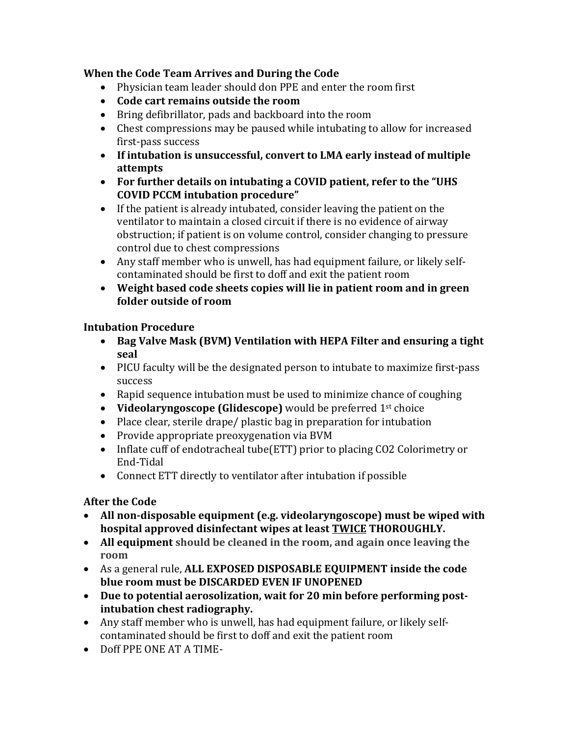## **When the Code Team Arrives and During the Code**

- Physician team leader should don PPE and enter the room first
- **Code cart remains outside the room**
- Bring defibrillator, pads and backboard into the room
- Chest compressions may be paused while intubating to allow for increased first-pass success
- **If intubation is unsuccessful, convert to LMA early instead of multiple attempts**
- **For further details on intubating a COVID patient, refer to the "UHS COVID PCCM intubation procedure"**
- obstruction; if patient is on volume control, consider changing to pressure • If the patient is already intubated, consider leaving the patient on the ventilator to maintain a closed circuit if there is no evidence of airway control due to chest compressions
- Any staff member who is unwell, has had equipment failure, or likely selfcontaminated should be first to doff and exit the patient room
- **Weight based code sheets copies will lie in patient room and in green folder outside of room**

# **Intubation Procedure**

- **Bag Valve Mask (BVM) Ventilation with HEPA Filter and ensuring a tight seal**
- PICU faculty will be the designated person to intubate to maximize first-pass success
- Rapid sequence intubation must be used to minimize chance of coughing
- **Videolaryngoscope (Glidescope)** would be preferred 1st choice
- Place clear, sterile drape/ plastic bag in preparation for intubation Provide appropriate preoxygenation via BVM
- 
- Inflate cuff of endotracheal tube(ETT) prior to placing CO2 Colorimetry or End-Tidal
- Connect ETT directly to ventilator after intubation if possible

# **After the Code**

- **All non-disposable equipment (e.g. videolaryngoscope) must be wiped with hospital approved disinfectant wipes at least TWICE THOROUGHLY.**
- **All equipment should be cleaned in the room, and again once leaving the room**
- **blue room must be DISCARDED EVEN IF UNOPENED**  • As a general rule, **ALL EXPOSED DISPOSABLE EQUIPMENT inside the code**
- **Due to potential aerosolization, wait for 20 min before performing postintubation chest radiography.**
- Any staff member who is unwell, has had equipment failure, or likely selfcontaminated should be first to doff and exit the patient room
- Doff PPE ONE AT A TIME-